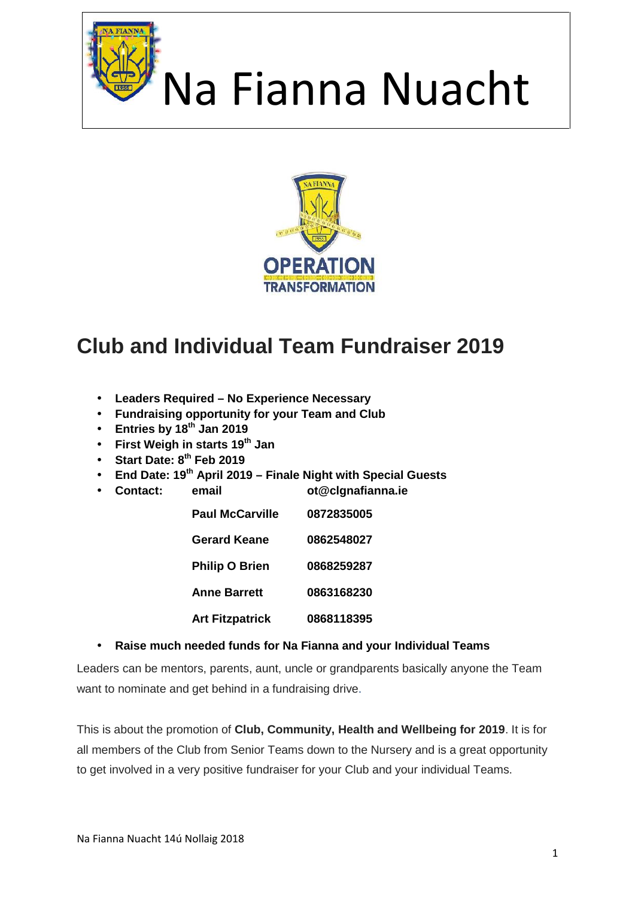



### **Club and Individual Team Fundraiser 2019**

- **Leaders Required – No Experience Necessary**
- **Fundraising opportunity for your Team and Club**
- **Entries by 18th Jan 2019**
- **First Weigh in starts 19th Jan**
- **Start Date: 8th Feb 2019**
- **End Date: 19th April 2019 – Finale Night with Special Guests**
- **Contact: email ot@clgnafianna.ie**

**Paul McCarville 0872835005 Gerard Keane 0862548027**

**Philip O Brien 0868259287**

**Anne Barrett 0863168230**

**Art Fitzpatrick 0868118395**

#### **Raise much needed funds for Na Fianna and your Individual Teams**

Leaders can be mentors, parents, aunt, uncle or grandparents basically anyone the Team want to nominate and get behind in a fundraising drive.

This is about the promotion of **Club, Community, Health and Wellbeing for 2019**. It is for all members of the Club from Senior Teams down to the Nursery and is a great opportunity to get involved in a very positive fundraiser for your Club and your individual Teams.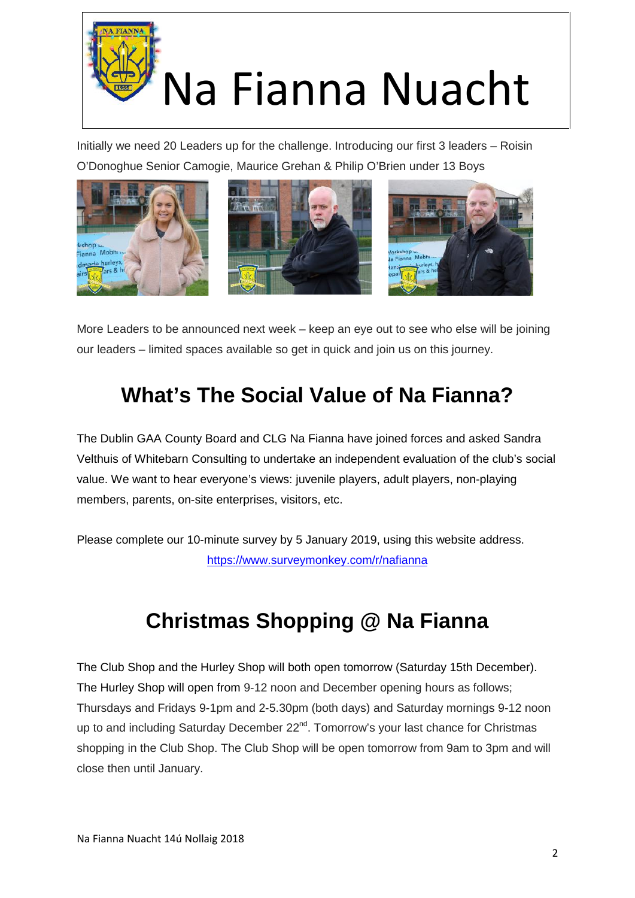

Initially we need 20 Leaders up for the challenge. Introducing our first 3 leaders – Roisin O'Donoghue Senior Camogie, Maurice Grehan & Philip O'Brien under 13 Boys



More Leaders to be announced next week – keep an eye out to see who else will be joining our leaders – limited spaces available so get in quick and join us on this journey.

### **What's The Social Value of Na Fianna?**

The Dublin GAA County Board and CLG Na Fianna have joined forces and asked Sandra Velthuis of Whitebarn Consulting to undertake an independent evaluation of the club's social value. We want to hear everyone's views: juvenile players, adult players, non-playing members, parents, on-site enterprises, visitors, etc.

Please complete our 10-minute survey by 5 January 2019, using this website address. https://www.surveymonkey.com/r/nafianna

### **Christmas Shopping @ Na Fianna**

The Club Shop and the Hurley Shop will both open tomorrow (Saturday 15th December). The Hurley Shop will open from 9-12 noon and December opening hours as follows; Thursdays and Fridays 9-1pm and 2-5.30pm (both days) and Saturday mornings 9-12 noon up to and including Saturday December 22<sup>nd</sup>. Tomorrow's your last chance for Christmas shopping in the Club Shop. The Club Shop will be open tomorrow from 9am to 3pm and will close then until January.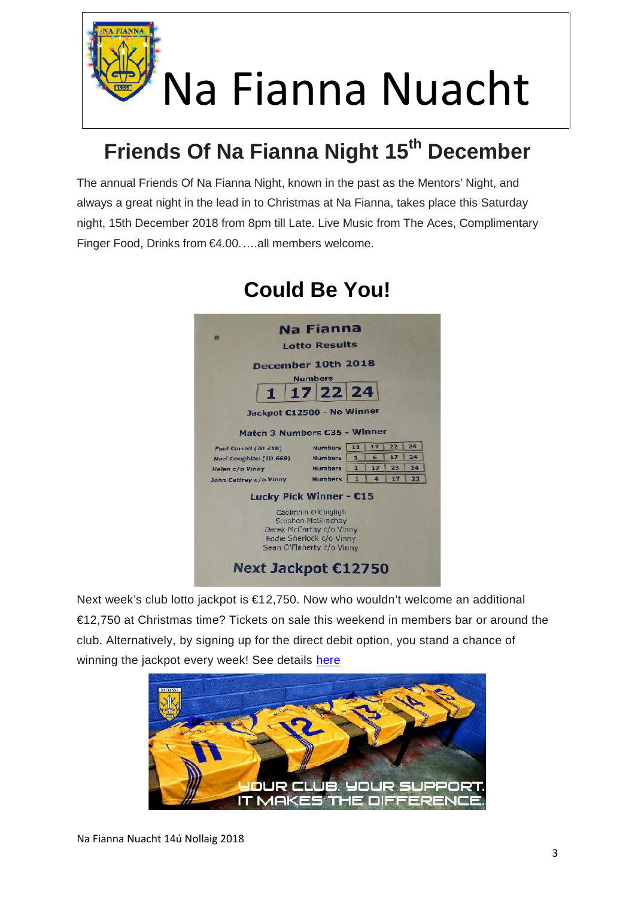

## **Friends Of Na Fianna Night 15th December**

The annual Friends Of Na Fianna Night, known in the past as the Mentors' Night, and always a great night in the lead in to Christmas at Na Fianna, takes place this Saturday night, 15th December 2018 from 8pm till Late. Live Music from The Aces, Complimentary Finger Food, Drinks from €4.00.….all members welcome.

|                                | Na Fianna                                            |    |          |    |    |
|--------------------------------|------------------------------------------------------|----|----------|----|----|
|                                | <b>Lotto Results</b>                                 |    |          |    |    |
| December 10th 2018             |                                                      |    |          |    |    |
|                                | <b>Numbers</b>                                       |    |          |    |    |
| $\mathbf{1}$                   | 17 22 24                                             |    |          |    |    |
|                                |                                                      |    |          |    |    |
| Jackpot C12500 - No Winner     |                                                      |    |          |    |    |
| Match 3 Numbers C35 - Winner   |                                                      |    |          |    |    |
| Paul Carroll (ID 210)          | <b>Numbers</b>                                       | 12 | 17       | 22 | 24 |
| Noel Coughlan (ID 669)         | <b>Numbers</b>                                       | 1  | 6        | 17 | 24 |
| Helen c/o Vinny                | <b>Numbers</b>                                       | 1  | 17       | 23 | 24 |
| John Caffrey c/o Vinny         | <b>Numbers</b>                                       | d. | $\Delta$ | 17 | 22 |
| <b>Lucky Pick Winner - C15</b> |                                                      |    |          |    |    |
|                                | Caolmhin O'Coigligh                                  |    |          |    |    |
|                                | Stephen McGlinchey                                   |    |          |    |    |
|                                | Derek McCarthy c/o Vinny<br>Eddie Sherlock c/o Vinny |    |          |    |    |
|                                | Sean O'Flaherty c/o Vinny                            |    |          |    |    |
|                                |                                                      |    |          |    |    |

### **Could Be You!**

Next week's club lotto jackpot is €12,750. Now who wouldn't welcome an additional €12,750 at Christmas time? Tickets on sale this weekend in members bar or around the club. Alternatively, by signing up for the direct debit option, you stand a chance of winning the jackpot every week! See details here

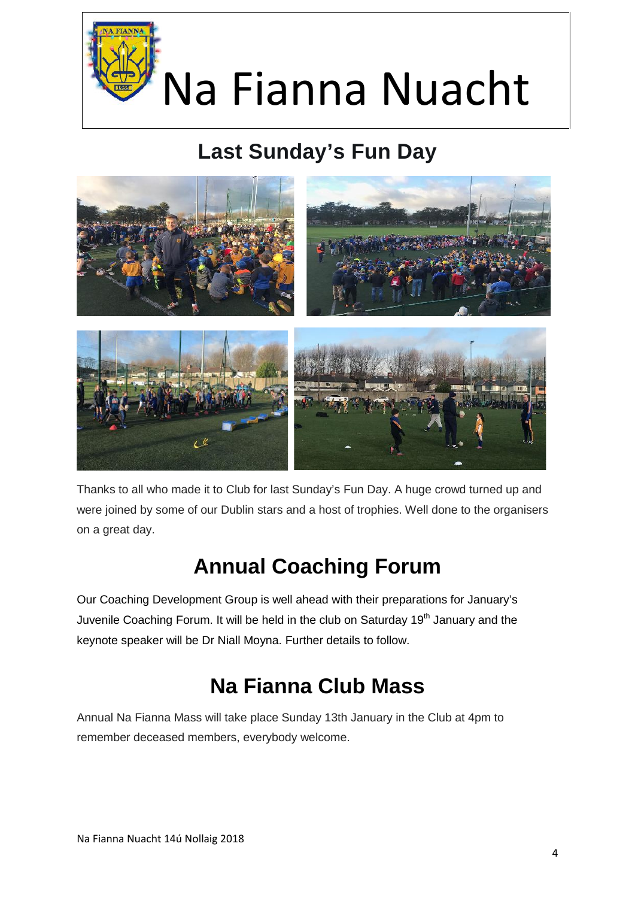

### **Last Sunday's Fun Day**



Thanks to all who made it to Club for last Sunday's Fun Day. A huge crowd turned up and were joined by some of our Dublin stars and a host of trophies. Well done to the organisers on a great day.

### **Annual Coaching Forum**

Our Coaching Development Group is well ahead with their preparations for January's Juvenile Coaching Forum. It will be held in the club on Saturday 19<sup>th</sup> January and the keynote speaker will be Dr Niall Moyna. Further details to follow.

### **Na Fianna Club Mass**

Annual Na Fianna Mass will take place Sunday 13th January in the Club at 4pm to remember deceased members, everybody welcome.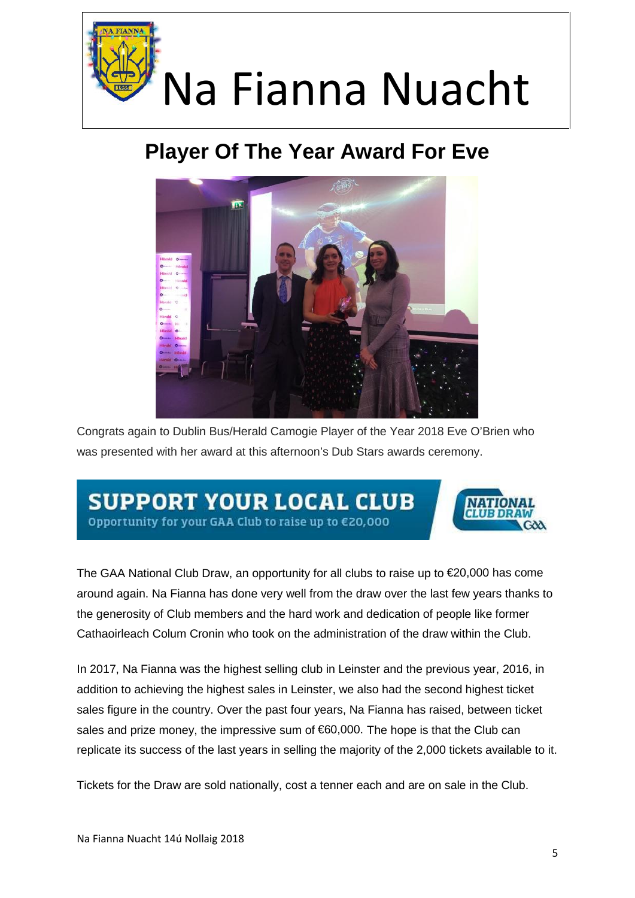

### **Player Of The Year Award For Eve**



Congrats again to Dublin Bus/Herald Camogie Player of the Year 2018 Eve O'Brien who was presented with her award at this afternoon's Dub Stars awards ceremony.

### **SUPPORT YOUR LOCAL CLUB** Opportunity for your GAA Club to raise up to €20,000



The GAA National Club Draw, an opportunity for all clubs to raise up to €20,000 has come around again. Na Fianna has done very well from the draw over the last few years thanks to the generosity of Club members and the hard work and dedication of people like former Cathaoirleach Colum Cronin who took on the administration of the draw within the Club.

In 2017, Na Fianna was the highest selling club in Leinster and the previous year, 2016, in addition to achieving the highest sales in Leinster, we also had the second highest ticket sales figure in the country. Over the past four years, Na Fianna has raised, between ticket sales and prize money, the impressive sum of €60,000. The hope is that the Club can replicate its success of the last years in selling the majority of the 2,000 tickets available to it.

Tickets for the Draw are sold nationally, cost a tenner each and are on sale in the Club.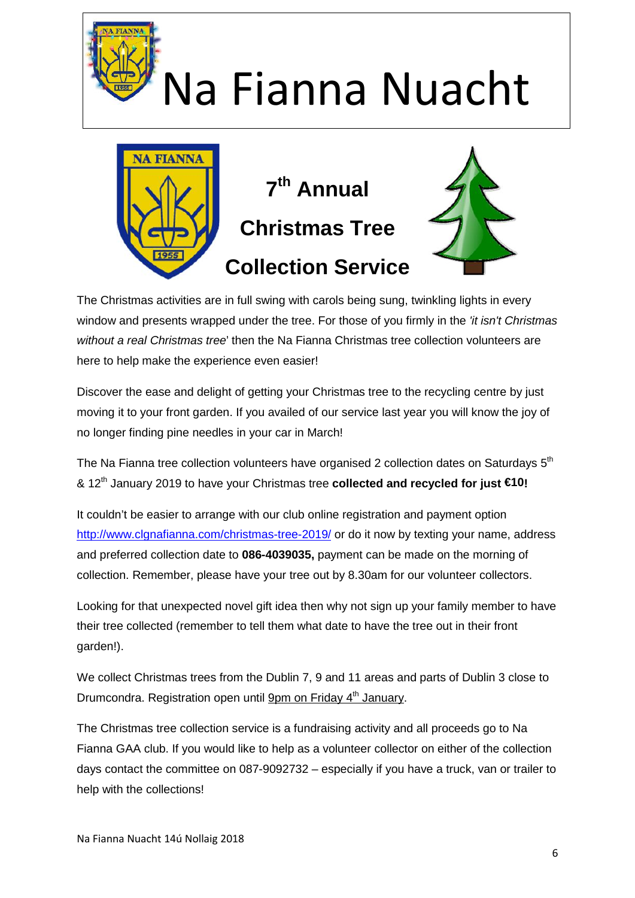

The Christmas activities are in full swing with carols being sung, twinkling lights in every window and presents wrapped under the tree. For those of you firmly in the *'it isn't Christmas without a real Christmas tree*' then the Na Fianna Christmas tree collection volunteers are here to help make the experience even easier!

Discover the ease and delight of getting your Christmas tree to the recycling centre by just moving it to your front garden. If you availed of our service last year you will know the joy of no longer finding pine needles in your car in March!

The Na Fianna tree collection volunteers have organised 2 collection dates on Saturdays  $5^{\rm th}$ & 12th January 2019 to have your Christmas tree **collected and recycled for just €10!**

It couldn't be easier to arrange with our club online registration and payment option http://www.clgnafianna.com/christmas-tree-2019/ or do it now by texting your name, address and preferred collection date to **086-4039035,** payment can be made on the morning of collection. Remember, please have your tree out by 8.30am for our volunteer collectors.

Looking for that unexpected novel gift idea then why not sign up your family member to have their tree collected (remember to tell them what date to have the tree out in their front garden!).

We collect Christmas trees from the Dublin 7, 9 and 11 areas and parts of Dublin 3 close to Drumcondra. Registration open until 9pm on Friday 4<sup>th</sup> January.

The Christmas tree collection service is a fundraising activity and all proceeds go to Na Fianna GAA club. If you would like to help as a volunteer collector on either of the collection days contact the committee on 087-9092732 – especially if you have a truck, van or trailer to help with the collections!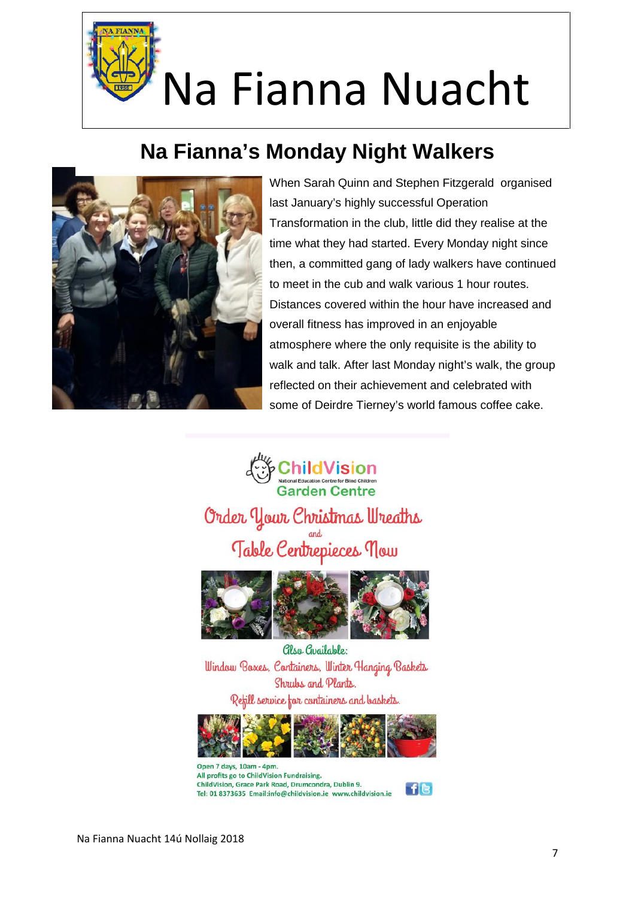### **Na Fianna's Monday Night Walkers**



When Sarah Quinn and Stephen Fitzgerald organised last January's highly successful Operation Transformation in the club, little did they realise at the time what they had started. Every Monday night since then, a committed gang of lady walkers have continued to meet in the cub and walk various 1 hour routes. Distances covered within the hour have increased and overall fitness has improved in an enjoyable atmosphere where the only requisite is the ability to walk and talk. After last Monday night's walk, the group reflected on their achievement and celebrated with some of Deirdre Tierney's world famous coffee cake.

**Child Vision Garden Centre** Order Your Christmas Wreaths Table Centrepieces now



Clsa Cugilable: Window Boxes, Containers, Winter Hanging Baskets Shrubs and Plants. Refill service for containers and baskets.



Open 7 days, 10am - 4pm. All profits go to ChildVision Fundraising. ChildVision, Grace Park Road, Drumcondra, Dublin 9. Tel: 01 8373635 Email:info@childvision.ie www.childvision.ie

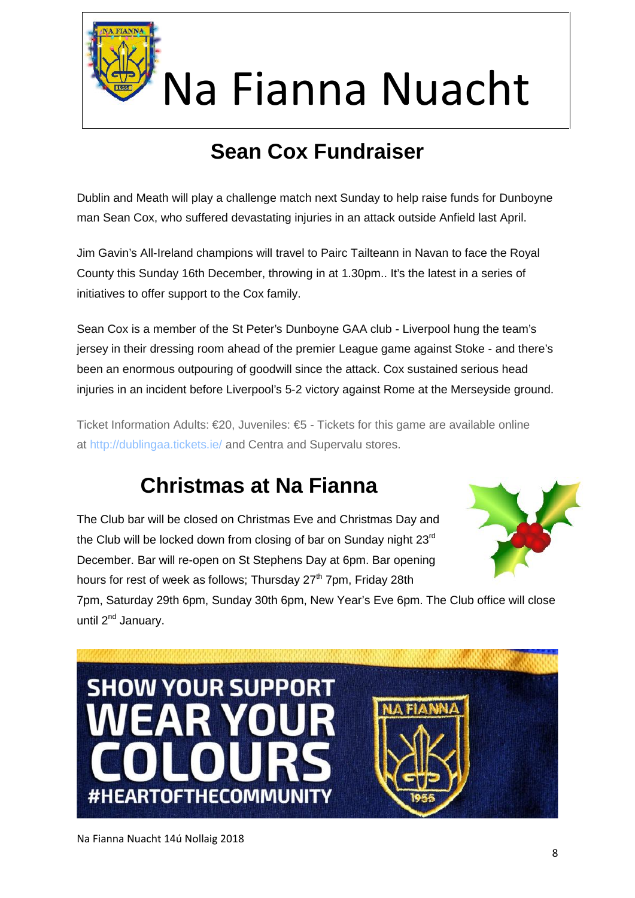

## **Sean Cox Fundraiser**

Dublin and Meath will play a challenge match next Sunday to help raise funds for Dunboyne man Sean Cox, who suffered devastating injuries in an attack outside Anfield last April.

Jim Gavin's All-Ireland champions will travel to Pairc Tailteann in Navan to face the Royal County this Sunday 16th December, throwing in at 1.30pm.. It's the latest in a series of initiatives to offer support to the Cox family.

Sean Cox is a member of the St Peter's Dunboyne GAA club - Liverpool hung the team's jersey in their dressing room ahead of the premier League game against Stoke - and there's been an enormous outpouring of goodwill since the attack. Cox sustained serious head injuries in an incident before Liverpool's 5-2 victory against Rome at the Merseyside ground.

Ticket Information Adults: €20, Juveniles: €5 - Tickets for this game are available online at http://dublingaa.tickets.ie/ and Centra and Supervalu stores.

### **Christmas at Na Fianna**

The Club bar will be closed on Christmas Eve and Christmas Day and the Club will be locked down from closing of bar on Sunday night 23<sup>rd</sup> December. Bar will re-open on St Stephens Day at 6pm. Bar opening hours for rest of week as follows: Thursday 27<sup>th</sup> 7pm, Friday 28th



7pm, Saturday 29th 6pm, Sunday 30th 6pm, New Year's Eve 6pm. The Club office will close until 2<sup>nd</sup> January.

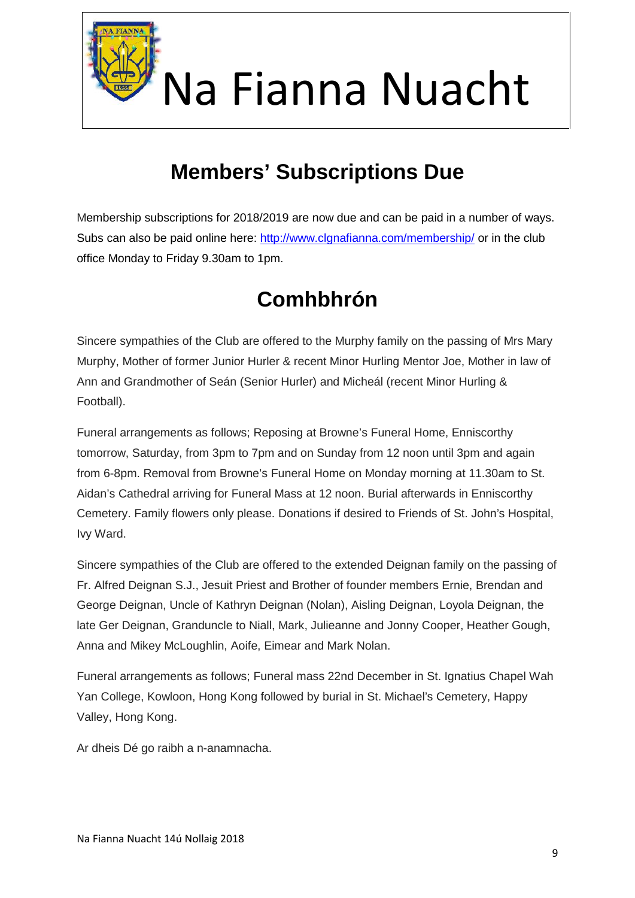

### **Members' Subscriptions Due**

Membership subscriptions for 2018/2019 are now due and can be paid in a number of ways. Subs can also be paid online here: http://www.clgnafianna.com/membership/ or in the club office Monday to Friday 9.30am to 1pm.

### **Comhbhrón**

Sincere sympathies of the Club are offered to the Murphy family on the passing of Mrs Mary Murphy, Mother of former Junior Hurler & recent Minor Hurling Mentor Joe, Mother in law of Ann and Grandmother of Seán (Senior Hurler) and Micheál (recent Minor Hurling & Football).

Funeral arrangements as follows; Reposing at Browne's Funeral Home, Enniscorthy tomorrow, Saturday, from 3pm to 7pm and on Sunday from 12 noon until 3pm and again from 6-8pm. Removal from Browne's Funeral Home on Monday morning at 11.30am to St. Aidan's Cathedral arriving for Funeral Mass at 12 noon. Burial afterwards in Enniscorthy Cemetery. Family flowers only please. Donations if desired to Friends of St. John's Hospital, Ivy Ward.

Sincere sympathies of the Club are offered to the extended Deignan family on the passing of Fr. Alfred Deignan S.J., Jesuit Priest and Brother of founder members Ernie, Brendan and George Deignan, Uncle of Kathryn Deignan (Nolan), Aisling Deignan, Loyola Deignan, the late Ger Deignan, Granduncle to Niall, Mark, Julieanne and Jonny Cooper, Heather Gough, Anna and Mikey McLoughlin, Aoife, Eimear and Mark Nolan.

Funeral arrangements as follows; Funeral mass 22nd December in St. Ignatius Chapel Wah Yan College, Kowloon, Hong Kong followed by burial in St. Michael's Cemetery, Happy Valley, Hong Kong.

Ar dheis Dé go raibh a n-anamnacha.